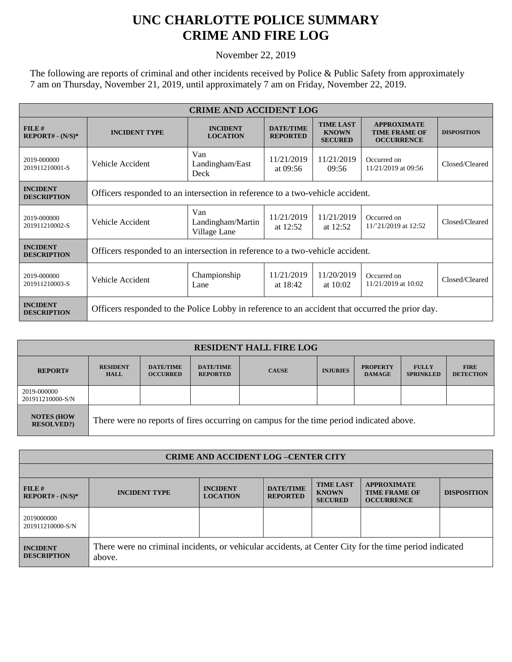## **UNC CHARLOTTE POLICE SUMMARY CRIME AND FIRE LOG**

November 22, 2019

The following are reports of criminal and other incidents received by Police & Public Safety from approximately 7 am on Thursday, November 21, 2019, until approximately 7 am on Friday, November 22, 2019.

| <b>CRIME AND ACCIDENT LOG</b>         |                                                                                                 |                                          |                                     |                                                    |                                                                 |                    |  |
|---------------------------------------|-------------------------------------------------------------------------------------------------|------------------------------------------|-------------------------------------|----------------------------------------------------|-----------------------------------------------------------------|--------------------|--|
| FILE#<br>$REPORT# - (N/S)*$           | <b>INCIDENT TYPE</b>                                                                            | <b>INCIDENT</b><br><b>LOCATION</b>       | <b>DATE/TIME</b><br><b>REPORTED</b> | <b>TIME LAST</b><br><b>KNOWN</b><br><b>SECURED</b> | <b>APPROXIMATE</b><br><b>TIME FRAME OF</b><br><b>OCCURRENCE</b> | <b>DISPOSITION</b> |  |
| 2019-000000<br>201911210001-S         | Vehicle Accident                                                                                | Van<br>Landingham/East<br>Deck           | 11/21/2019<br>at $09:56$            | 11/21/2019<br>09:56                                | Occurred on<br>11/21/2019 at 09:56                              | Closed/Cleared     |  |
| <b>INCIDENT</b><br><b>DESCRIPTION</b> | Officers responded to an intersection in reference to a two-vehicle accident.                   |                                          |                                     |                                                    |                                                                 |                    |  |
| 2019-000000<br>201911210002-S         | Vehicle Accident                                                                                | Van<br>Landingham/Martin<br>Village Lane | 11/21/2019<br>at 12:52              | 11/21/2019<br>at $12:52$                           | Occurred on<br>11/'21/2019 at 12:52                             | Closed/Cleared     |  |
| <b>INCIDENT</b><br><b>DESCRIPTION</b> | Officers responded to an intersection in reference to a two-vehicle accident.                   |                                          |                                     |                                                    |                                                                 |                    |  |
| 2019-000000<br>201911210003-S         | Vehicle Accident                                                                                | Championship<br>Lane                     | 11/21/2019<br>at 18:42              | 11/20/2019<br>at $10:02$                           | Occurred on<br>11/21/2019 at 10:02                              | Closed/Cleared     |  |
| <b>INCIDENT</b><br><b>DESCRIPTION</b> | Officers responded to the Police Lobby in reference to an accident that occurred the prior day. |                                          |                                     |                                                    |                                                                 |                    |  |

| <b>RESIDENT HALL FIRE LOG</b>         |                                                                                         |                                     |                                     |              |                 |                                  |                                  |                                 |
|---------------------------------------|-----------------------------------------------------------------------------------------|-------------------------------------|-------------------------------------|--------------|-----------------|----------------------------------|----------------------------------|---------------------------------|
| <b>REPORT#</b>                        | <b>RESIDENT</b><br><b>HALL</b>                                                          | <b>DATE/TIME</b><br><b>OCCURRED</b> | <b>DATE/TIME</b><br><b>REPORTED</b> | <b>CAUSE</b> | <b>INJURIES</b> | <b>PROPERTY</b><br><b>DAMAGE</b> | <b>FULLY</b><br><b>SPRINKLED</b> | <b>FIRE</b><br><b>DETECTION</b> |
| 2019-000000<br>201911210000-S/N       |                                                                                         |                                     |                                     |              |                 |                                  |                                  |                                 |
| <b>NOTES (HOW</b><br><b>RESOLVED?</b> | There were no reports of fires occurring on campus for the time period indicated above. |                                     |                                     |              |                 |                                  |                                  |                                 |

| <b>CRIME AND ACCIDENT LOG-CENTER CITY</b> |                                                                                                                  |                                    |                                     |                                                    |                                                                 |                    |  |
|-------------------------------------------|------------------------------------------------------------------------------------------------------------------|------------------------------------|-------------------------------------|----------------------------------------------------|-----------------------------------------------------------------|--------------------|--|
|                                           |                                                                                                                  |                                    |                                     |                                                    |                                                                 |                    |  |
| FILE#<br>$REPORT# - (N/S)*$               | <b>INCIDENT TYPE</b>                                                                                             | <b>INCIDENT</b><br><b>LOCATION</b> | <b>DATE/TIME</b><br><b>REPORTED</b> | <b>TIME LAST</b><br><b>KNOWN</b><br><b>SECURED</b> | <b>APPROXIMATE</b><br><b>TIME FRAME OF</b><br><b>OCCURRENCE</b> | <b>DISPOSITION</b> |  |
| 2019000000<br>201911210000-S/N            |                                                                                                                  |                                    |                                     |                                                    |                                                                 |                    |  |
| <b>INCIDENT</b><br><b>DESCRIPTION</b>     | There were no criminal incidents, or vehicular accidents, at Center City for the time period indicated<br>above. |                                    |                                     |                                                    |                                                                 |                    |  |